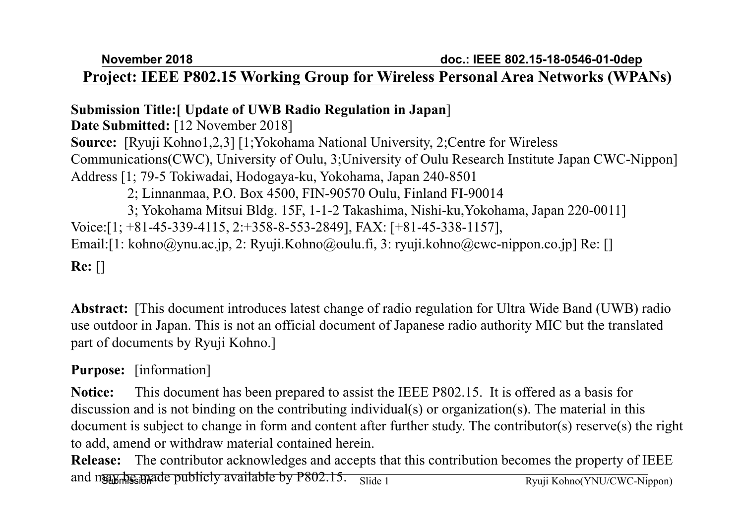**November 2018**

#### **Project: IEEE P802.15 Working Group for Wireless Personal Area Networks (WPANs)**

#### **Submission Title:[ Update of UWB Radio Regulation in Japan**]

**Date Submitted:** [12 November 2018] **Source:** [Ryuji Kohno1,2,3] [1;Yokohama National University, 2;Centre for Wireless Communications(CWC), University of Oulu, 3;University of Oulu Research Institute Japan CWC-Nippon] Address [1; 79-5 Tokiwadai, Hodogaya-ku, Yokohama, Japan 240-8501 2; Linnanmaa, P.O. Box 4500, FIN-90570 Oulu, Finland FI-90014 3; Yokohama Mitsui Bldg. 15F, 1-1-2 Takashima, Nishi-ku,Yokohama, Japan 220-0011] Voice:[1; +81-45-339-4115, 2:+358-8-553-2849], FAX: [+81-45-338-1157], Email:[1: kohno@ynu.ac.jp, 2: Ryuji.Kohno@oulu.fi, 3: ryuji.kohno@cwc-nippon.co.jp] Re: [] **Re:** []

**Abstract:** [This document introduces latest change of radio regulation for Ultra Wide Band (UWB) radio use outdoor in Japan. This is not an official document of Japanese radio authority MIC but the translated part of documents by Ryuji Kohno.]

#### **Purpose:** [information]

**Notice:** This document has been prepared to assist the IEEE P802.15. It is offered as a basis for discussion and is not binding on the contributing individual(s) or organization(s). The material in this document is subject to change in form and content after further study. The contributor(s) reserve(s) the right to add, amend or withdraw material contained herein.

Submission and may be made publicly available by P802.15. Slide 1**Release:** The contributor acknowledges and accepts that this contribution becomes the property of IEEE Slide 1 Ryuji Kohno(YNU/CWC-Nippon)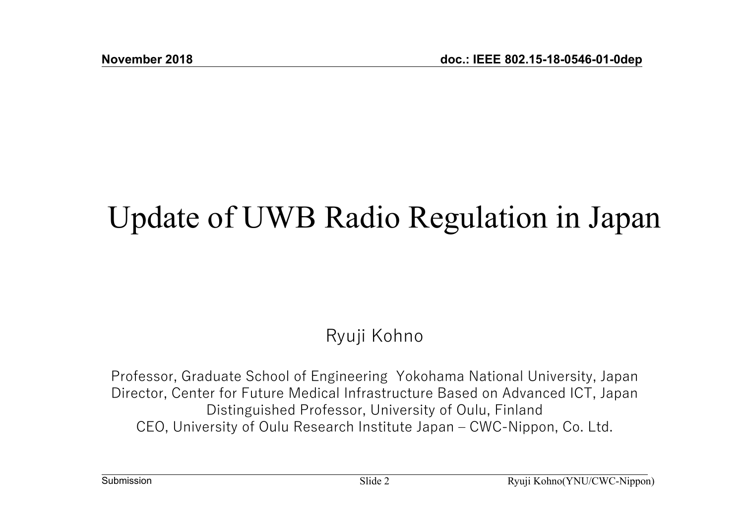# Update of UWB Radio Regulation in Japan

## Ryuji Kohno

Professor, Graduate School of Engineering Yokohama National University, Japan Director, Center for Future Medical Infrastructure Based on Advanced ICT, Japan Distinguished Professor, University of Oulu, Finland CEO, University of Oulu Research Institute Japan – CWC-Nippon, Co. Ltd.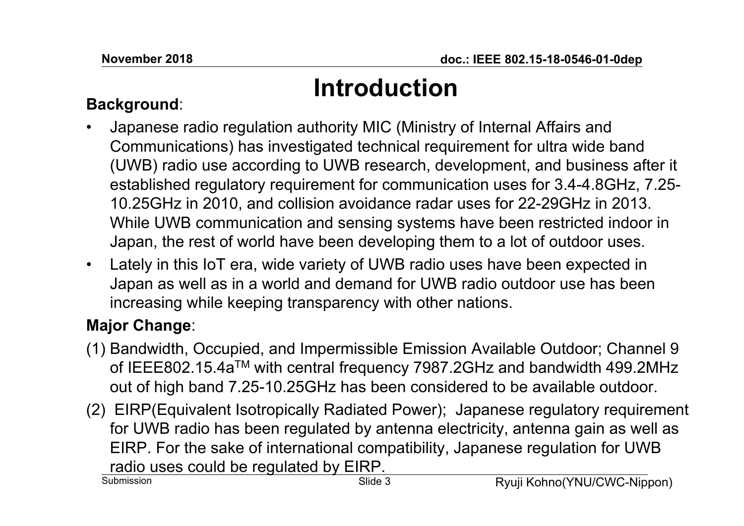# **Introduction**

#### **Background**:

- • Japanese radio regulation authority MIC (Ministry of Internal Affairs and Communications) has investigated technical requirement for ultra wide band (UWB) radio use according to UWB research, development, and business after it established regulatory requirement for communication uses for 3.4-4.8GHz, 7.25- 10.25GHz in 2010, and collision avoidance radar uses for 22-29GHz in 2013. While UWB communication and sensing systems have been restricted indoor in Japan, the rest of world have been developing them to a lot of outdoor uses.
- Lately in this IoT era, wide variety of UWB radio uses have been expected in Japan as well as in a world and demand for UWB radio outdoor use has been increasing while keeping transparency with other nations.

### **Major Change**:

- (1) Bandwidth, Occupied, and Impermissible Emission Available Outdoor; Channel 9 of IEEE802.15.4aTM with central frequency 7987.2GHz and bandwidth 499.2MHz out of high band 7.25-10.25GHz has been considered to be available outdoor.
- (2) EIRP(Equivalent Isotropically Radiated Power); Japanese regulatory requirement for UWB radio has been regulated by antenna electricity, antenna gain as well as EIRP. For the sake of international compatibility, Japanese regulation for UWB radio uses could be regulated by EIRP.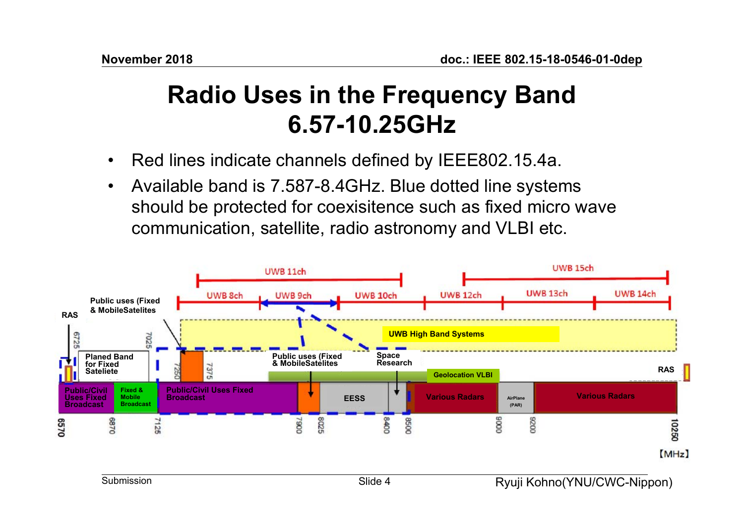# **Radio Uses in the Frequency Band 6.57-10.25GHz**

- •Red lines indicate channels defined by IEEE802.15.4a.
- • Available band is 7.587-8.4GHz. Blue dotted line systems should be protected for coexisitence such as fixed micro wave communication, satellite, radio astronomy and VLBI etc.

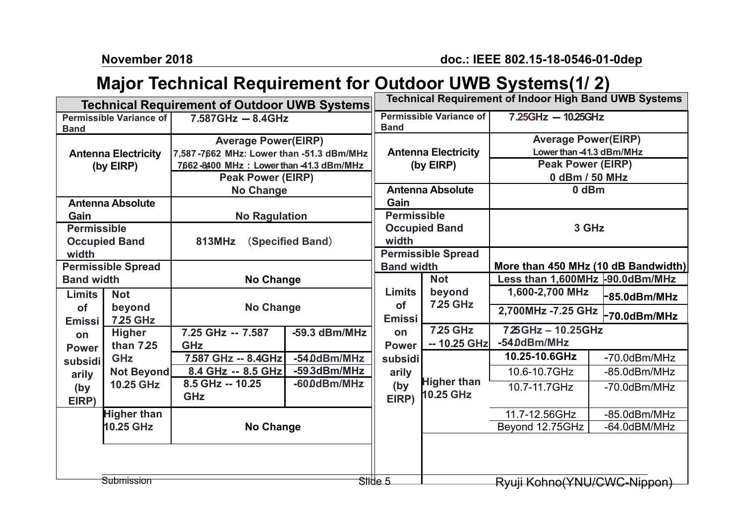**November 2018**

#### **Major Technical Requirement for Outdoor UWB Systems(1/ 2)**

| Technical Requirement of Outdoor UWB Systems |                                 |                                           |                 |                                                | Technical Requirement of Indoor High Band UWB Systems |                                 |                                     |  |
|----------------------------------------------|---------------------------------|-------------------------------------------|-----------------|------------------------------------------------|-------------------------------------------------------|---------------------------------|-------------------------------------|--|
| <b>Permissible Variance of</b>               |                                 | $7.587$ GHz $- 8.4$ GHz                   |                 | <b>Permissible Variance of</b>                 |                                                       | $7.25GHz - 10.25GHz$            |                                     |  |
| <b>Band</b>                                  |                                 |                                           |                 | <b>Band</b>                                    |                                                       |                                 |                                     |  |
| <b>Antenna Electricity</b>                   |                                 | <b>Average Power(EIRP)</b>                |                 | <b>Antenna Electricity</b><br>(by EIRP)        |                                                       | <b>Average Power(EIRP)</b>      |                                     |  |
|                                              |                                 | 7,587-7662 MHz: Lower than -51.3 dBm/MHz  |                 |                                                |                                                       | Lower than -41.3 dBm/MHz        |                                     |  |
| (by EIRP)                                    |                                 | 7,662-8400 MHz : Lower than -41.3 dBm/MHz |                 |                                                |                                                       | <b>Peak Power (EIRP)</b>        |                                     |  |
|                                              |                                 | <b>Peak Power (EIRP)</b>                  |                 |                                                |                                                       | 0 dBm / 50 MHz                  |                                     |  |
|                                              |                                 | <b>No Change</b>                          |                 | <b>Antenna Absolute</b>                        |                                                       | 0 dBm                           |                                     |  |
| <b>Antenna Absolute</b>                      |                                 |                                           |                 | Gain                                           |                                                       |                                 |                                     |  |
| Gain                                         |                                 | <b>No Ragulation</b>                      |                 | <b>Permissible</b>                             |                                                       | 3 GHz                           |                                     |  |
| <b>Permissible</b>                           |                                 | (Specified Band)<br><b>813MHz</b>         |                 | <b>Occupied Band</b>                           |                                                       |                                 |                                     |  |
| <b>Occupied Band</b>                         |                                 |                                           |                 | width                                          |                                                       |                                 |                                     |  |
| width                                        |                                 |                                           |                 | <b>Permissible Spread</b><br><b>Band width</b> |                                                       |                                 |                                     |  |
| <b>Permissible Spread</b>                    |                                 |                                           |                 |                                                |                                                       |                                 | More than 450 MHz (10 dB Bandwidth) |  |
| <b>Band width</b>                            |                                 | No Change                                 |                 |                                                | <b>Not</b>                                            | Less than 1,600MHz -90.0dBm/MHz |                                     |  |
| <b>Limits</b>                                | <b>Not</b>                      | <b>No Change</b>                          |                 | <b>Limits</b><br><b>of</b>                     | beyond<br><b>7.25 GHz</b>                             | 1,600-2,700 MHz                 | $-85.0$ dBm/MHz                     |  |
| of                                           | beyond                          |                                           |                 |                                                |                                                       | 2,700MHz -7.25 GHz              |                                     |  |
| <b>Emissi</b>                                | <b>725 GHz</b>                  |                                           |                 | <b>Emissi</b>                                  |                                                       |                                 | -70.0dBm/MHz                        |  |
| on                                           | <b>Higher</b>                   | 7.25 GHz -- 7.587                         | $-59.3$ dBm/MHz | on                                             | <b>7.25 GHz</b>                                       | 725 GHz - 10.25 GHz             |                                     |  |
| <b>Power</b>                                 | than 7.25                       | <b>GHz</b>                                |                 | <b>Power</b><br>subsidi                        | -- 10.25 GHz                                          | -54.0dBm/MHz                    |                                     |  |
| subsidi                                      | <b>GHz</b><br><b>Not Beyond</b> | 7.587 GHz -- 8.4GHz                       | -54.0dBm/MHz    |                                                |                                                       | 10.25-10.6GHz                   | -70.0dBm/MHz                        |  |
| arily                                        |                                 | 8.4 GHz -- 8.5 GHz                        | -593dBm/MHz     | arily                                          |                                                       | 10.6-10.7GHz                    | -85.0dBm/MHz                        |  |
| (by                                          | 10.25 GHz                       | 8.5 GHz -- 10.25                          | -60.0dBm/MHz    | (by                                            | <b>Higher than</b>                                    | 10.7-11.7GHz                    | -70.0dBm/MHz                        |  |
| EIRP)                                        |                                 | <b>GHz</b>                                |                 | EIRP)                                          | 10.25 GHz                                             |                                 |                                     |  |
| <b>Higher than</b><br>10.25 GHz              |                                 | No Change                                 |                 |                                                |                                                       | 11.7-12.56GHz                   | -85.0dBm/MHz                        |  |
|                                              |                                 |                                           |                 |                                                |                                                       | Beyond 12.75GHz                 | -64.0dBM/MHz                        |  |
|                                              |                                 |                                           |                 |                                                |                                                       |                                 |                                     |  |
|                                              |                                 |                                           |                 |                                                |                                                       |                                 |                                     |  |
|                                              |                                 |                                           |                 |                                                |                                                       |                                 |                                     |  |
|                                              | Submission                      |                                           |                 | Stide 5                                        |                                                       | Ryuji Kohno(YNU/CWC-Nippon)     |                                     |  |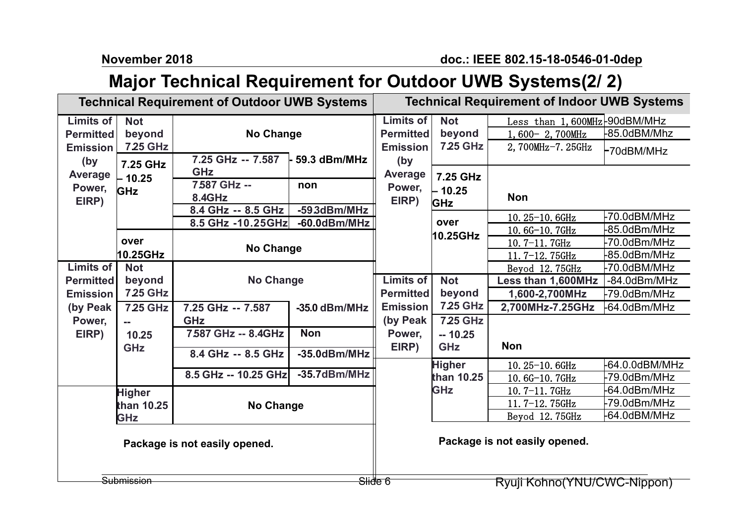**November 2018**

## **Major Technical Requirement for Outdoor UWB Systems(2/ 2)**

|                                                                                       | <b>Technical Requirement of Outdoor UWB Systems</b>                   |                                                                 | <b>Technical Requirement of Indoor UWB Systems</b> |                                                         |                                    |                                                                    |                            |  |
|---------------------------------------------------------------------------------------|-----------------------------------------------------------------------|-----------------------------------------------------------------|----------------------------------------------------|---------------------------------------------------------|------------------------------------|--------------------------------------------------------------------|----------------------------|--|
| Limits of<br><b>Permitted</b><br><b>Emission</b><br>(by<br>Average<br>Power,<br>EIRP) | <b>Not</b><br>beyond<br><b>725 GHz</b><br>7.25 GHz<br>$-10.25$<br>GHz | <b>No Change</b>                                                |                                                    | <b>Limits of</b><br><b>Permitted</b><br><b>Emission</b> | <b>Not</b><br>beyond<br>7.25 GHz   | Less than 1,600MHz-90dBM/MHz<br>1,600-2,700MHz<br>2,700MHz-7.25GHz | -85.0dBM/Mhz<br>-70dBM/MHz |  |
|                                                                                       |                                                                       | 7.25 GHz -- 7.587<br><b>GHz</b><br>7587 GHz --<br><b>8.4GHz</b> | $-59.3$ dBm/MHz<br>non                             | (by<br><b>Average</b><br>Power,<br>EIRP)                | 7.25 GHz<br>$-10.25$<br><b>GHz</b> | <b>Non</b>                                                         |                            |  |
|                                                                                       |                                                                       | 8.4 GHz -- 8.5 GHz<br>8.5 GHz -10.25 GHz                        | -593dBm/MHz<br>$-60.0$ dBm/MHz                     |                                                         | over                               | 10.25-10.6GHz                                                      | -70.0dBM/MHz               |  |
|                                                                                       | over<br>10.25GHz                                                      |                                                                 |                                                    |                                                         | 10.25GHz                           | 10.6G-10.7GHz                                                      | -85.0dBm/MHz               |  |
|                                                                                       |                                                                       | <b>No Change</b>                                                |                                                    |                                                         |                                    | 10.7-11.7GHz                                                       | -70.0dBm/MHz               |  |
|                                                                                       |                                                                       |                                                                 |                                                    |                                                         |                                    | 11.7-12.75GHz                                                      | -85.0dBm/MHz               |  |
| <b>Limits of</b>                                                                      | <b>Not</b>                                                            |                                                                 |                                                    | <b>Limits of</b>                                        |                                    | Beyod 12.75GHz                                                     | -70.0dBM/MHz               |  |
| <b>Permitted</b>                                                                      | beyond                                                                |                                                                 | <b>No Change</b>                                   |                                                         | <b>Not</b><br>beyond               | Less than 1,600MHz                                                 | -84.0dBm/MHz               |  |
| <b>Emission</b>                                                                       | <b>7.25 GHz</b>                                                       |                                                                 |                                                    | <b>Permitted</b>                                        |                                    | 1,600-2,700MHz                                                     | -79.0dBm/MHz               |  |
| (by Peak                                                                              | <b>725 GHz</b>                                                        | 7.25 GHz -- 7.587                                               | -35.0 dBm/MHz                                      | <b>Emission</b>                                         | <b>725 GHz</b>                     | 2,700MHz-7.25GHz                                                   | -64.0dBm/MHz               |  |
| Power,                                                                                | $=$                                                                   | <b>GHz</b>                                                      |                                                    | (by Peak                                                | <b>725 GHz</b>                     |                                                                    |                            |  |
| EIRP)                                                                                 | 10.25<br><b>GHz</b>                                                   | 7.587 GHz -- 8.4GHz                                             | <b>Non</b>                                         | Power,                                                  | $-10.25$                           |                                                                    |                            |  |
|                                                                                       |                                                                       | 8.4 GHz -- 8.5 GHz                                              | $-35.0$ dBm/MHz                                    | EIRP)                                                   | <b>GHz</b>                         | <b>Non</b>                                                         |                            |  |
|                                                                                       |                                                                       |                                                                 |                                                    |                                                         | <b>Higher</b>                      | 10.25-10.6GHz                                                      | -64.0.0dBM/MHz             |  |
|                                                                                       |                                                                       | 8.5 GHz -- 10.25 GHz                                            | $-35.7$ dBm/MHz                                    |                                                         | than 10.25                         | 10.6G-10.7GHz                                                      | -79.0dBm/MHz               |  |
|                                                                                       | <b>Higher</b>                                                         |                                                                 |                                                    |                                                         | <b>GHz</b>                         | 10.7-11.7GHz                                                       | -64.0dBm/MHz               |  |
|                                                                                       | than 10.25                                                            | <b>No Change</b>                                                |                                                    |                                                         |                                    | 11.7-12.75GHz                                                      | -79.0dBm/MHz               |  |
|                                                                                       | <b>GHz</b>                                                            |                                                                 |                                                    |                                                         |                                    | Beyod 12.75GHz                                                     | -64.0dBM/MHz               |  |
| Package is not easily opened.                                                         |                                                                       |                                                                 |                                                    |                                                         | Package is not easily opened.      |                                                                    |                            |  |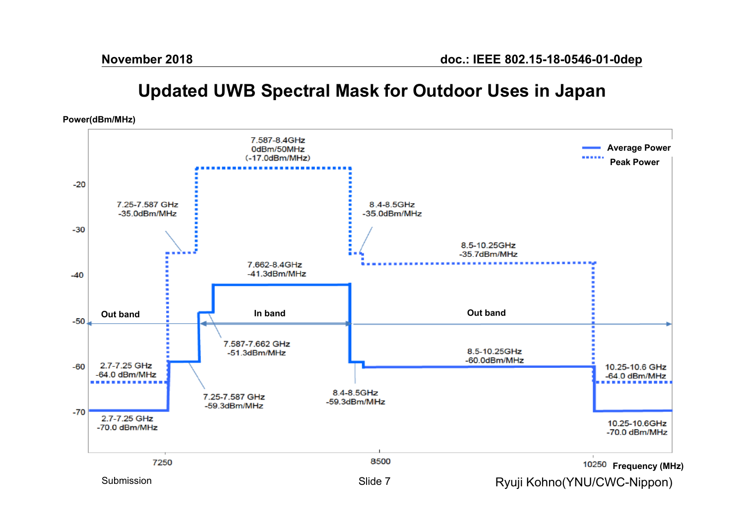### **Updated UWB Spectral Mask for Outdoor Uses in Japan**

**Power(dBm/MHz)**